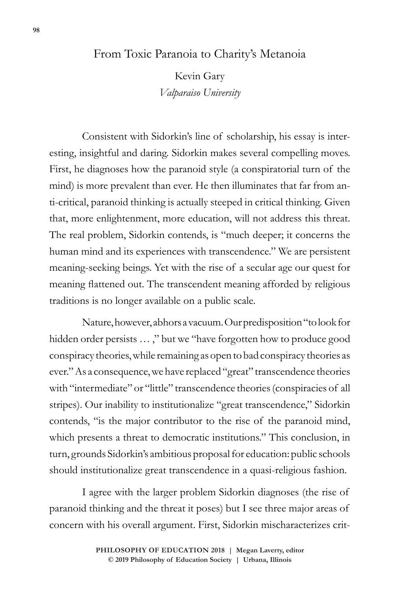# From Toxic Paranoia to Charity's Metanoia

Kevin Gary *Valparaiso University*

Consistent with Sidorkin's line of scholarship, his essay is interesting, insightful and daring. Sidorkin makes several compelling moves. First, he diagnoses how the paranoid style (a conspiratorial turn of the mind) is more prevalent than ever. He then illuminates that far from anti-critical, paranoid thinking is actually steeped in critical thinking. Given that, more enlightenment, more education, will not address this threat. The real problem, Sidorkin contends, is "much deeper; it concerns the human mind and its experiences with transcendence." We are persistent meaning-seeking beings. Yet with the rise of a secular age our quest for meaning flattened out. The transcendent meaning afforded by religious traditions is no longer available on a public scale.

Nature, however, abhors a vacuum. Our predisposition "to look for hidden order persists … ," but we "have forgotten how to produce good conspiracy theories, while remaining as open to bad conspiracy theories as ever." As a consequence, we have replaced "great" transcendence theories with "intermediate" or "little" transcendence theories (conspiracies of all stripes). Our inability to institutionalize "great transcendence," Sidorkin contends, "is the major contributor to the rise of the paranoid mind, which presents a threat to democratic institutions." This conclusion, in turn, grounds Sidorkin's ambitious proposal for education: public schools should institutionalize great transcendence in a quasi-religious fashion.

I agree with the larger problem Sidorkin diagnoses (the rise of paranoid thinking and the threat it poses) but I see three major areas of concern with his overall argument. First, Sidorkin mischaracterizes crit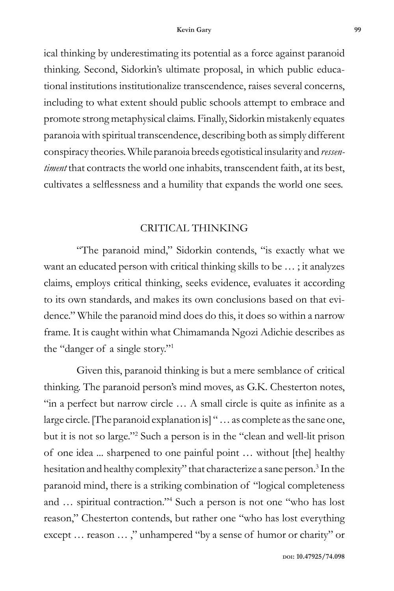ical thinking by underestimating its potential as a force against paranoid thinking. Second, Sidorkin's ultimate proposal, in which public educational institutions institutionalize transcendence, raises several concerns, including to what extent should public schools attempt to embrace and promote strong metaphysical claims. Finally, Sidorkin mistakenly equates paranoia with spiritual transcendence, describing both as simply different conspiracy theories. While paranoia breeds egotistical insularity and *ressentiment* that contracts the world one inhabits, transcendent faith, at its best, cultivates a selflessness and a humility that expands the world one sees.

# CRITICAL THINKING

"The paranoid mind," Sidorkin contends, "is exactly what we want an educated person with critical thinking skills to be … ; it analyzes claims, employs critical thinking, seeks evidence, evaluates it according to its own standards, and makes its own conclusions based on that evidence." While the paranoid mind does do this, it does so within a narrow frame. It is caught within what Chimamanda Ngozi Adichie describes as the "danger of a single story."1

Given this, paranoid thinking is but a mere semblance of critical thinking. The paranoid person's mind moves, as G.K. Chesterton notes, "in a perfect but narrow circle … A small circle is quite as infinite as a large circle. [The paranoid explanation is] " … as complete as the sane one, but it is not so large."2 Such a person is in the "clean and well-lit prison of one idea ... sharpened to one painful point … without [the] healthy hesitation and healthy complexity" that characterize a sane person.<sup>3</sup> In the paranoid mind, there is a striking combination of "logical completeness and … spiritual contraction."4 Such a person is not one "who has lost reason," Chesterton contends, but rather one "who has lost everything except … reason … ," unhampered "by a sense of humor or charity" or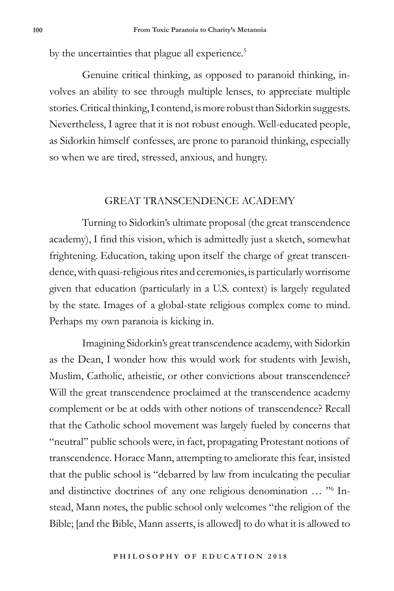by the uncertainties that plague all experience.<sup>5</sup>

Genuine critical thinking, as opposed to paranoid thinking, involves an ability to see through multiple lenses, to appreciate multiple stories. Critical thinking, I contend, is more robust than Sidorkin suggests. Nevertheless, I agree that it is not robust enough. Well-educated people, as Sidorkin himself confesses, are prone to paranoid thinking, especially so when we are tired, stressed, anxious, and hungry.

### GREAT TRANSCENDENCE ACADEMY

Turning to Sidorkin's ultimate proposal (the great transcendence academy), I find this vision, which is admittedly just a sketch, somewhat frightening. Education, taking upon itself the charge of great transcendence, with quasi-religious rites and ceremonies, is particularly worrisome given that education (particularly in a U.S. context) is largely regulated by the state. Images of a global-state religious complex come to mind. Perhaps my own paranoia is kicking in.

Imagining Sidorkin's great transcendence academy, with Sidorkin as the Dean, I wonder how this would work for students with Jewish, Muslim, Catholic, atheistic, or other convictions about transcendence? Will the great transcendence proclaimed at the transcendence academy complement or be at odds with other notions of transcendence? Recall that the Catholic school movement was largely fueled by concerns that "neutral" public schools were, in fact, propagating Protestant notions of transcendence. Horace Mann, attempting to ameliorate this fear, insisted that the public school is "debarred by law from inculcating the peculiar and distinctive doctrines of any one religious denomination … "6 Instead, Mann notes, the public school only welcomes "the religion of the Bible; [and the Bible, Mann asserts, is allowed] to do what it is allowed to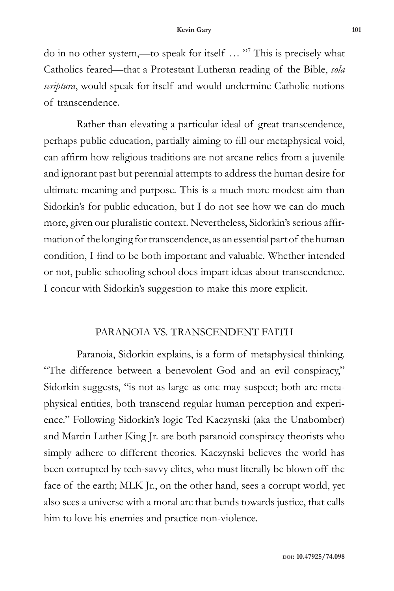do in no other system,—to speak for itself … "7 This is precisely what Catholics feared—that a Protestant Lutheran reading of the Bible, *sola scriptura*, would speak for itself and would undermine Catholic notions of transcendence.

Rather than elevating a particular ideal of great transcendence, perhaps public education, partially aiming to fill our metaphysical void, can affirm how religious traditions are not arcane relics from a juvenile and ignorant past but perennial attempts to address the human desire for ultimate meaning and purpose. This is a much more modest aim than Sidorkin's for public education, but I do not see how we can do much more, given our pluralistic context. Nevertheless, Sidorkin's serious affirmation of the longing for transcendence, as an essential part of the human condition, I find to be both important and valuable. Whether intended or not, public schooling school does impart ideas about transcendence. I concur with Sidorkin's suggestion to make this more explicit.

# PARANOIA VS. TRANSCENDENT FAITH

Paranoia, Sidorkin explains, is a form of metaphysical thinking. "The difference between a benevolent God and an evil conspiracy," Sidorkin suggests, "is not as large as one may suspect; both are metaphysical entities, both transcend regular human perception and experience." Following Sidorkin's logic Ted Kaczynski (aka the Unabomber) and Martin Luther King Jr. are both paranoid conspiracy theorists who simply adhere to different theories. Kaczynski believes the world has been corrupted by tech-savvy elites, who must literally be blown off the face of the earth; MLK Jr., on the other hand, sees a corrupt world, yet also sees a universe with a moral arc that bends towards justice, that calls him to love his enemies and practice non-violence.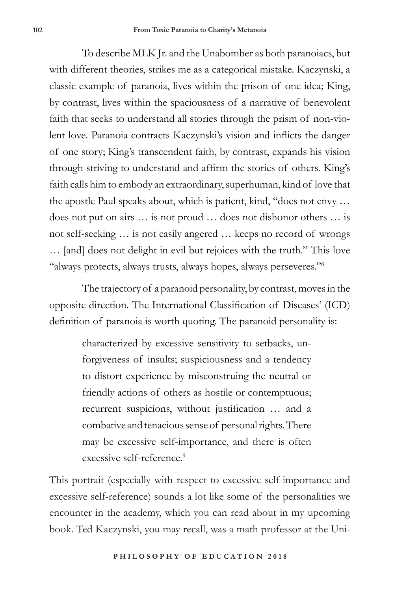To describe MLK Jr. and the Unabomber as both paranoiacs, but with different theories, strikes me as a categorical mistake. Kaczynski, a classic example of paranoia, lives within the prison of one idea; King, by contrast, lives within the spaciousness of a narrative of benevolent faith that seeks to understand all stories through the prism of non-violent love. Paranoia contracts Kaczynski's vision and inflicts the danger of one story; King's transcendent faith, by contrast, expands his vision through striving to understand and affirm the stories of others. King's faith calls him to embody an extraordinary, superhuman, kind of love that the apostle Paul speaks about, which is patient, kind, "does not envy … does not put on airs … is not proud … does not dishonor others … is not self-seeking … is not easily angered … keeps no record of wrongs … [and] does not delight in evil but rejoices with the truth." This love "always protects, always trusts, always hopes, always perseveres."8

The trajectory of a paranoid personality, by contrast, moves in the opposite direction. The International Classification of Diseases' (ICD) definition of paranoia is worth quoting. The paranoid personality is:

> characterized by excessive sensitivity to setbacks, unforgiveness of insults; suspiciousness and a tendency to distort experience by misconstruing the neutral or friendly actions of others as hostile or contemptuous; recurrent suspicions, without justification … and a combative and tenacious sense of personal rights. There may be excessive self-importance, and there is often excessive self-reference<sup>9</sup>

This portrait (especially with respect to excessive self-importance and excessive self-reference) sounds a lot like some of the personalities we encounter in the academy, which you can read about in my upcoming book. Ted Kaczynski, you may recall, was a math professor at the Uni-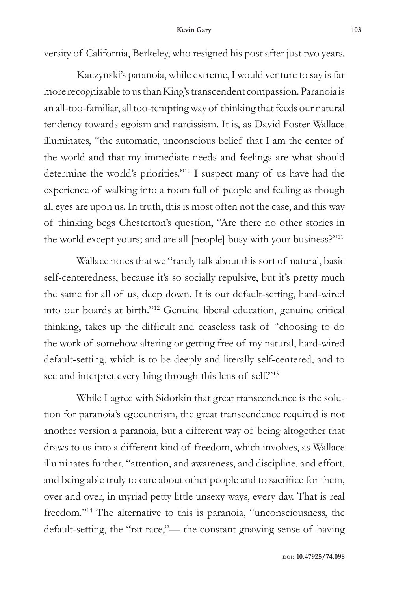#### **Kevin Gary 103**

versity of California, Berkeley, who resigned his post after just two years.

Kaczynski's paranoia, while extreme, I would venture to say is far more recognizable to us than King's transcendent compassion. Paranoia is an all-too-familiar, all too-tempting way of thinking that feeds our natural tendency towards egoism and narcissism. It is, as David Foster Wallace illuminates, "the automatic, unconscious belief that I am the center of the world and that my immediate needs and feelings are what should determine the world's priorities."10 I suspect many of us have had the experience of walking into a room full of people and feeling as though all eyes are upon us. In truth, this is most often not the case, and this way of thinking begs Chesterton's question, "Are there no other stories in the world except yours; and are all [people] busy with your business?"11

Wallace notes that we "rarely talk about this sort of natural, basic self-centeredness, because it's so socially repulsive, but it's pretty much the same for all of us, deep down. It is our default-setting, hard-wired into our boards at birth."12 Genuine liberal education, genuine critical thinking, takes up the difficult and ceaseless task of "choosing to do the work of somehow altering or getting free of my natural, hard-wired default-setting, which is to be deeply and literally self-centered, and to see and interpret everything through this lens of self."13

While I agree with Sidorkin that great transcendence is the solution for paranoia's egocentrism, the great transcendence required is not another version a paranoia, but a different way of being altogether that draws to us into a different kind of freedom, which involves, as Wallace illuminates further, "attention, and awareness, and discipline, and effort, and being able truly to care about other people and to sacrifice for them, over and over, in myriad petty little unsexy ways, every day. That is real freedom."14 The alternative to this is paranoia, "unconsciousness, the default-setting, the "rat race,"— the constant gnawing sense of having